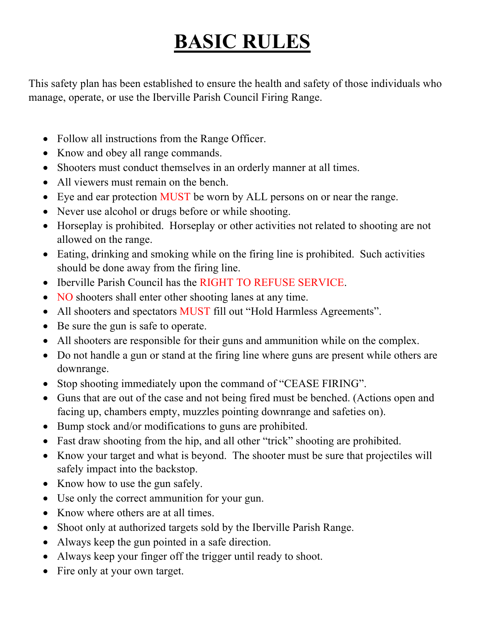## **BASIC RULES**

This safety plan has been established to ensure the health and safety of those individuals who manage, operate, or use the Iberville Parish Council Firing Range.

- Follow all instructions from the Range Officer.
- Know and obey all range commands.
- Shooters must conduct themselves in an orderly manner at all times.
- All viewers must remain on the bench.
- Eye and ear protection MUST be worn by ALL persons on or near the range.
- Never use alcohol or drugs before or while shooting.
- Horseplay is prohibited. Horseplay or other activities not related to shooting are not allowed on the range.
- Eating, drinking and smoking while on the firing line is prohibited. Such activities should be done away from the firing line.
- Iberville Parish Council has the RIGHT TO REFUSE SERVICE.
- NO shooters shall enter other shooting lanes at any time.
- All shooters and spectators MUST fill out "Hold Harmless Agreements".
- Be sure the gun is safe to operate.
- All shooters are responsible for their guns and ammunition while on the complex.
- Do not handle a gun or stand at the firing line where guns are present while others are downrange.
- Stop shooting immediately upon the command of "CEASE FIRING".
- Guns that are out of the case and not being fired must be benched. (Actions open and facing up, chambers empty, muzzles pointing downrange and safeties on).
- Bump stock and/or modifications to guns are prohibited.
- Fast draw shooting from the hip, and all other "trick" shooting are prohibited.
- Know your target and what is beyond. The shooter must be sure that projectiles will safely impact into the backstop.
- Know how to use the gun safely.
- Use only the correct ammunition for your gun.
- Know where others are at all times.
- Shoot only at authorized targets sold by the Iberville Parish Range.
- Always keep the gun pointed in a safe direction.
- Always keep your finger off the trigger until ready to shoot.
- Fire only at your own target.